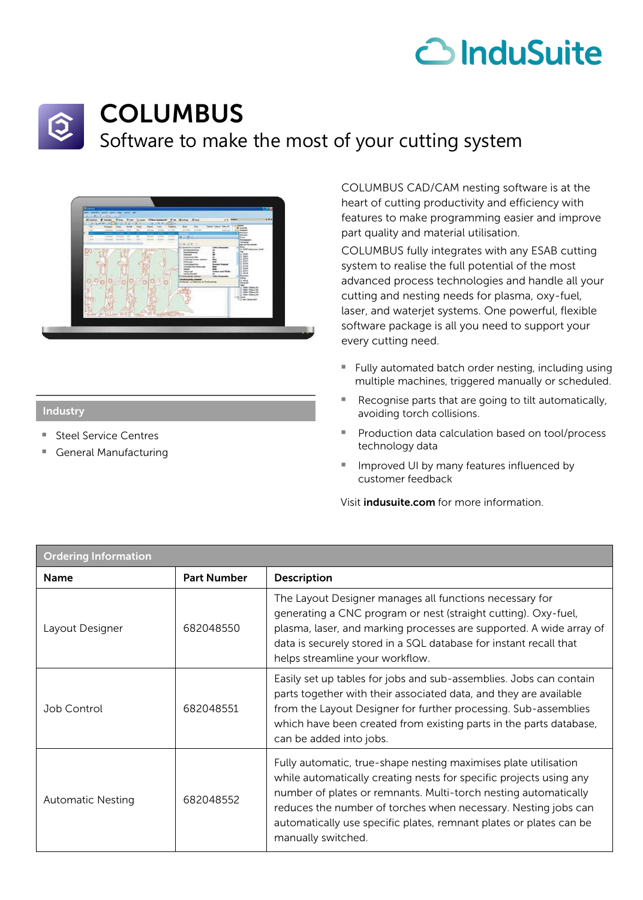## co InduSuite



## COLUMBUS

Software to make the most of your cutting system



## Industry

- Steel Service Centres
- General Manufacturing

COLUMBUS CAD/CAM nesting software is at the heart of cutting productivity and efficiency with features to make programming easier and improve part quality and material utilisation.

COLUMBUS fully integrates with any ESAB cutting system to realise the full potential of the most advanced process technologies and handle all your cutting and nesting needs for plasma, oxy-fuel, laser, and waterjet systems. One powerful, flexible software package is all you need to support your every cutting need.

- Fully automated batch order nesting, including using multiple machines, triggered manually or scheduled.
- Recognise parts that are going to tilt automatically, avoiding torch collisions.
- Production data calculation based on tool/process technology data
- Improved UI by many features influenced by customer feedback

Visit *indusuite.com* for more information.

| <b>Ordering Information</b> |                    |                                                                                                                                                                                                                                                                                                                                                                        |
|-----------------------------|--------------------|------------------------------------------------------------------------------------------------------------------------------------------------------------------------------------------------------------------------------------------------------------------------------------------------------------------------------------------------------------------------|
| <b>Name</b>                 | <b>Part Number</b> | <b>Description</b>                                                                                                                                                                                                                                                                                                                                                     |
| Layout Designer             | 682048550          | The Layout Designer manages all functions necessary for<br>generating a CNC program or nest (straight cutting). Oxy-fuel,<br>plasma, laser, and marking processes are supported. A wide array of<br>data is securely stored in a SQL database for instant recall that<br>helps streamline your workflow.                                                               |
| Job Control                 | 682048551          | Easily set up tables for jobs and sub-assemblies. Jobs can contain<br>parts together with their associated data, and they are available<br>from the Layout Designer for further processing. Sub-assemblies<br>which have been created from existing parts in the parts database,<br>can be added into jobs.                                                            |
| <b>Automatic Nesting</b>    | 682048552          | Fully automatic, true-shape nesting maximises plate utilisation<br>while automatically creating nests for specific projects using any<br>number of plates or remnants. Multi-torch nesting automatically<br>reduces the number of torches when necessary. Nesting jobs can<br>automatically use specific plates, remnant plates or plates can be<br>manually switched. |